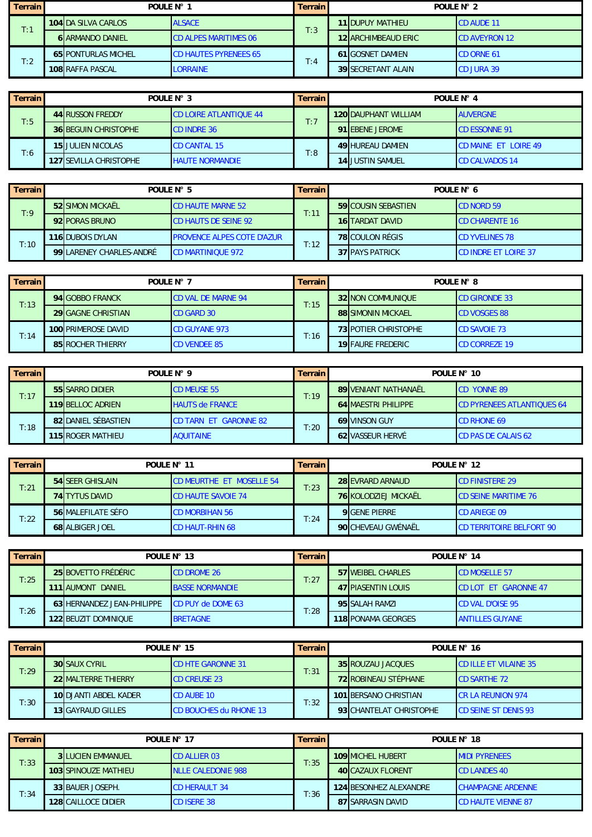| <b>Terrain</b> | POULE $N^{\circ}$ 1 |                            | <b>Terrain</b>               | POULF $N^{\circ}$ 2 |                            |                       |
|----------------|---------------------|----------------------------|------------------------------|---------------------|----------------------------|-----------------------|
| T:1            |                     | <b>104 DA SILVA CARLOS</b> | <b>ALSACE</b>                | T:3                 | <b>11IDUPUY MATHIEU</b>    | <b>CD AUDE 11</b>     |
|                |                     | <b>6 ARMANDO DANIEL</b>    | <b>CD ALPES MARITIMES 06</b> |                     | <b>12 ARCHIMBEAUD ERIC</b> | <b>ICD AVEYRON 12</b> |
| T:2            |                     | <b>65 PONTURLAS MICHEL</b> | <b>CD HAUTES PYRENEES 65</b> | T:4                 | <b>61 GOSNET DAMIEN</b>    | <b>CD ORNE 61</b>     |
|                |                     | <b>108 RAFFA PASCAL</b>    | <b>LORRAINE</b>              |                     | <b>39 SECRETANT ALAIN</b>  | <b>CD JURA 39</b>     |

| Terrain | POULE N° 3 |                                                         | <b>Terrain</b>                | POULE N° 4 |                             |                             |  |
|---------|------------|---------------------------------------------------------|-------------------------------|------------|-----------------------------|-----------------------------|--|
| T:5     |            | 44 RUSSON FREDDY                                        | <b>CD LOIRE ATLANTIQUE 44</b> | T:7        | <b>120 DAUPHANT WILLIAM</b> | <b>AUVERGNE</b>             |  |
|         |            | <b>36 BEGUIN CHRISTOPHE</b>                             | <b>ICD INDRE 36</b>           |            | 91 EBENE JEROME             | <b>CD ESSONNE 91</b>        |  |
| T:6     |            | <b>15 JULIEN NICOLAS</b>                                | <b>CD CANTAL 15</b>           | T:8        | <b>49 HUREAU DAMIEN</b>     | <b>CD MAINE ET LOIRE 49</b> |  |
|         |            | <b>127 SEVILLA CHRISTOPHE</b><br><b>HAUTE NORMANDIE</b> |                               |            | <b>14 JUSTIN SAMUEL</b>     | <b>CD CALVADOS 14</b>       |  |

| $\blacksquare$ Terrain | POULE N° 5               |                                   | <b>Terrain</b>                | POULE N° 6                 |                             |  |
|------------------------|--------------------------|-----------------------------------|-------------------------------|----------------------------|-----------------------------|--|
| T:9                    | <b>52 SIMON MICKAËL</b>  | <b>CD HAUTE MARNE 52</b>          | $\mathsf{T}\colon\mathsf{11}$ | <b>59 COUSIN SEBASTIEN</b> | <b>CD NORD 59</b>           |  |
|                        | 92 PORAS BRUNO           | <b>CD HAUTS DE SEINE 92</b>       |                               | <b>16 TARDAT DAVID</b>     | <b>ICD CHARENTE 16</b>      |  |
| T:10                   | <b>116 DUBOIS DYLAN</b>  | <b>PROVENCE ALPES COTE D'AZUR</b> | T:12                          | 78 COULON RÉGIS            | <b>CD YVELINES 78</b>       |  |
|                        | 99 LARENEY CHARLES-ANDRÉ | <b>CD MARTINIOUE 972</b>          |                               | <b>37 PAYS PATRICK</b>     | <b>CD INDRE ET LOIRE 37</b> |  |

| <b>Terrain</b> | POULE $N^{\circ}$ 7 |                           | <b>Terrain</b>            | POULF $N^{\circ}$ 8 |                             |                      |  |
|----------------|---------------------|---------------------------|---------------------------|---------------------|-----------------------------|----------------------|--|
|                |                     | 94 GOBBO FRANCK           | <b>CD VAL DE MARNE 94</b> | T:15                | 32 NON COMMUNIQUE           | <b>CD GIRONDE 33</b> |  |
| T:13           |                     | <b>29 GAGNE CHRISTIAN</b> | <b>ICD GARD 30</b>        |                     | <b>88 SIMONIN MICKAEL</b>   | <b>CD VOSGES 88</b>  |  |
|                |                     | 100 PRIMEROSE DAVID       | <b>CD GUYANE 973</b>      | T:16                | <b>73 POTIER CHRISTOPHE</b> | <b>CD SAVOIE 73</b>  |  |
| T:14           |                     | <b>85 ROCHER THIERRY</b>  | <b>CD VENDEE 85</b>       |                     | <b>19 FAURE FREDERIC</b>    | <b>CD CORREZE 19</b> |  |

| <b>Terrain</b> | POULE N° 9 |                     | <b>Terrain</b>               | POULE N° 10 |                             |                                   |  |  |
|----------------|------------|---------------------|------------------------------|-------------|-----------------------------|-----------------------------------|--|--|
| T:17           |            | 55 SARRO DIDIER     | <b>CD MEUSE 55</b>           | T:19        | <b>89 VENIANT NATHANAËL</b> | <b>CD YONNE 89</b>                |  |  |
|                |            | 119 BELLOC ADRIEN   | <b>HAUTS de FRANCE</b>       |             | <b>64 MAESTRI PHILIPPE</b>  | <b>CD PYRENEES ATLANTIQUES 64</b> |  |  |
| T:18           |            | 82 DANIEL SÉBASTIEN | <b>CD TARN ET GARONNE 82</b> | T:20        | 69 VINSON GUY               | <b>CD RHONE 69</b>                |  |  |
|                |            | 115 ROGER MATHIEU   | <b>AQUITAINE</b>             |             | 62 VASSEUR HERVÉ            | <b>CD PAS DE CALAIS 62</b>        |  |  |

| <b>Terrain</b> | POULE $N^{\circ}$ 11 |                           | <b>Terrain</b>                  | POULE $N^{\circ}$ 12 |                             |                                 |
|----------------|----------------------|---------------------------|---------------------------------|----------------------|-----------------------------|---------------------------------|
| T:21           |                      | <b>54 SEER GHISLAIN</b>   | <b>CD MEURTHE ET MOSELLE 54</b> | T:23                 | 28 EVRARD ARNAUD            | <b>CD FINISTERE 29</b>          |
|                |                      | <b>74 TYTUS DAVID</b>     | <b>CD HAUTE SAVOIE 74</b>       |                      | <b>76 KOLODZIEJ MICKAËL</b> | <b>CD SEINE MARITIME 76</b>     |
| T:22           |                      | <b>56 MALEFILATE SÉFO</b> | <b>CD MORBIHAN 56</b>           | T:24                 | <b>9</b> GENE PIERRE        | <b>CD ARIEGE 09</b>             |
|                |                      | <b>68 ALBIGER JOEL</b>    | <b>CD HAUT-RHIN 68</b>          |                      | 90 CHEVEAU GWÉNAËL          | <b>CD TERRITOIRE BELFORT 90</b> |

| <b>Terrain</b> |                             | POULE N° 13              |      | <b>Terrain</b> | POULE N° 14               |                             |  |
|----------------|-----------------------------|--------------------------|------|----------------|---------------------------|-----------------------------|--|
| T:25           | 25 BOVETTO FRÉDÉRIC         | <b>CD DROME 26</b>       | T:27 |                | 57 WEIBEL CHARLES         | <b>CD MOSELLE 57</b>        |  |
|                | DANIEL<br>111 AUMONT        | <b>BASSE NORMANDIE</b>   |      |                | <b>47 PIASENTIN LOUIS</b> | <b>CD LOT ET GARONNE 47</b> |  |
| T:26           | 63 HERNANDEZ JEAN-PHILIPPE  | <b>CD PUY de DOME 63</b> | T:28 |                | 95 SALAH RAMZI            | <b>CD VAL D'OISE 95</b>     |  |
|                | <b>122 BEUZIT DOMINIQUE</b> | <b>BRETAGNE</b>          |      |                | <b>118 PONAMA GEORGES</b> | <b>ANTILLES GUYANE</b>      |  |

| <b>Terrain</b> | POULE N° 15 |                            | <b>Terrain</b>           | POULE N° 16 |                             |                              |  |
|----------------|-------------|----------------------------|--------------------------|-------------|-----------------------------|------------------------------|--|
| T:29           |             | <b>30 SAUX CYRIL</b>       | <b>CD HTE GARONNE 31</b> | T:31        | 35 ROUZAU JACQUES           | <b>CD ILLE ET VILAINE 35</b> |  |
|                |             | <b>22IMALTERRE THIERRY</b> | <b>CD CREUSE 23</b>      |             | <b>72 ROBINEAU STÉPHANE</b> | <b>CD SARTHE 72</b>          |  |
| T:30           |             | 10 DJANTI ABDEL KADER      | <b>CD AUBE 10</b>        | T:32        | 101 BERSANO CHRISTIAN       | <b>ICR LA REUNION 974</b>    |  |
|                |             | <b>13 GAYRAUD GILLES</b>   | CD BOUCHES du RHONE 13   |             | 93 CHANTELAT CHRISTOPHE     | <b>CD SEINE ST DENIS 93</b>  |  |

| <b>Terrain</b> | POULE N° 17 |                             | <b>Terrain</b>             | POULE N° 18 |                               |                           |  |  |
|----------------|-------------|-----------------------------|----------------------------|-------------|-------------------------------|---------------------------|--|--|
| T:33           |             | <b>3 LUCIEN EMMANUEL</b>    | <b>CD ALLIER 03</b>        | T:35        | <b>109 MICHEL HUBERT</b>      | <b>MIDI PYRENEES</b>      |  |  |
|                |             | <b>103 SPINOUZE MATHIEU</b> | <b>INLLE CALEDONIE 988</b> |             | <b>40 CAZAUX FLORENT</b>      | <b>CD LANDES 40</b>       |  |  |
| T:34           |             | 33 BAUER JOSEPH.            | <b>CD HERAULT 34</b>       | T:36        | <b>124 BESONHEZ ALEXANDRE</b> | <b>CHAMPAGNE ARDENNE</b>  |  |  |
|                |             | <b>128 CAILLOCE DIDIER</b>  | <b>CD ISERE 38</b>         |             | 87 ISARRASIN DAVID            | <b>CD HAUTE VIENNE 87</b> |  |  |